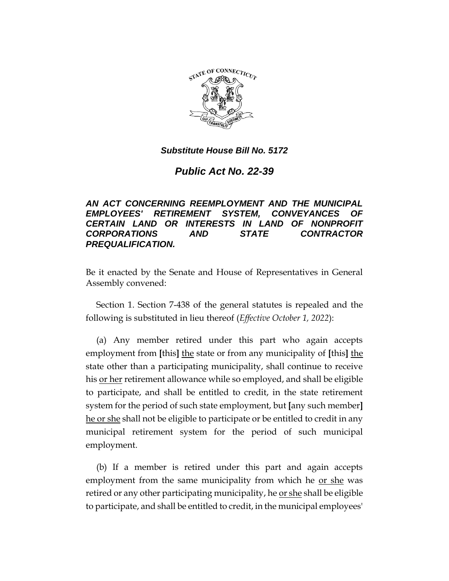

# *Public Act No. 22-39*

# *AN ACT CONCERNING REEMPLOYMENT AND THE MUNICIPAL EMPLOYEES' RETIREMENT SYSTEM, CONVEYANCES OF CERTAIN LAND OR INTERESTS IN LAND OF NONPROFIT CORPORATIONS AND STATE CONTRACTOR PREQUALIFICATION.*

Be it enacted by the Senate and House of Representatives in General Assembly convened:

Section 1. Section 7-438 of the general statutes is repealed and the following is substituted in lieu thereof (*Effective October 1, 2022*):

(a) Any member retired under this part who again accepts employment from **[**this**]** the state or from any municipality of **[**this**]** the state other than a participating municipality, shall continue to receive his or her retirement allowance while so employed, and shall be eligible to participate, and shall be entitled to credit, in the state retirement system for the period of such state employment, but **[**any such member**]** he or she shall not be eligible to participate or be entitled to credit in any municipal retirement system for the period of such municipal employment.

(b) If a member is retired under this part and again accepts employment from the same municipality from which he or she was retired or any other participating municipality, he or she shall be eligible to participate, and shall be entitled to credit, in the municipal employees'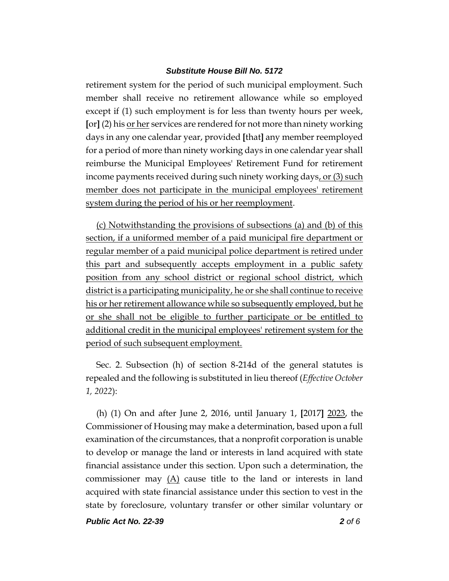retirement system for the period of such municipal employment. Such member shall receive no retirement allowance while so employed except if (1) such employment is for less than twenty hours per week, **[**or**]** (2) his or her services are rendered for not more than ninety working days in any one calendar year, provided **[**that**]** any member reemployed for a period of more than ninety working days in one calendar year shall reimburse the Municipal Employees' Retirement Fund for retirement income payments received during such ninety working days, or (3) such member does not participate in the municipal employees' retirement system during the period of his or her reemployment.

(c) Notwithstanding the provisions of subsections (a) and (b) of this section, if a uniformed member of a paid municipal fire department or regular member of a paid municipal police department is retired under this part and subsequently accepts employment in a public safety position from any school district or regional school district, which district is a participating municipality, he or she shall continue to receive his or her retirement allowance while so subsequently employed, but he or she shall not be eligible to further participate or be entitled to additional credit in the municipal employees' retirement system for the period of such subsequent employment.

Sec. 2. Subsection (h) of section 8-214d of the general statutes is repealed and the following is substituted in lieu thereof (*Effective October 1, 2022*):

(h) (1) On and after June 2, 2016, until January 1, **[**2017**]** 2023, the Commissioner of Housing may make a determination, based upon a full examination of the circumstances, that a nonprofit corporation is unable to develop or manage the land or interests in land acquired with state financial assistance under this section. Upon such a determination, the commissioner may  $(A)$  cause title to the land or interests in land acquired with state financial assistance under this section to vest in the state by foreclosure, voluntary transfer or other similar voluntary or

*Public Act No. 22-39 2 of 6*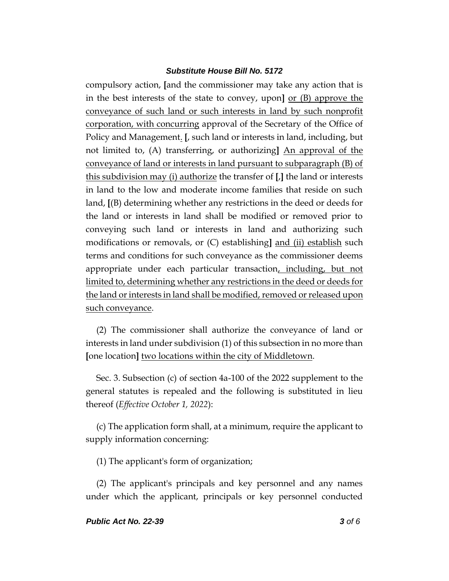compulsory action, **[**and the commissioner may take any action that is in the best interests of the state to convey, upon**]** or (B) approve the conveyance of such land or such interests in land by such nonprofit corporation, with concurring approval of the Secretary of the Office of Policy and Management. **[**, such land or interests in land, including, but not limited to, (A) transferring, or authorizing**]** An approval of the conveyance of land or interests in land pursuant to subparagraph (B) of this subdivision may (i) authorize the transfer of **[**,**]** the land or interests in land to the low and moderate income families that reside on such land, **[**(B) determining whether any restrictions in the deed or deeds for the land or interests in land shall be modified or removed prior to conveying such land or interests in land and authorizing such modifications or removals, or (C) establishing**]** and (ii) establish such terms and conditions for such conveyance as the commissioner deems appropriate under each particular transaction, including, but not limited to, determining whether any restrictions in the deed or deeds for the land or interests in land shall be modified, removed or released upon such conveyance.

(2) The commissioner shall authorize the conveyance of land or interests in land under subdivision (1) of this subsection in no more than **[**one location**]** two locations within the city of Middletown.

Sec. 3. Subsection (c) of section 4a-100 of the 2022 supplement to the general statutes is repealed and the following is substituted in lieu thereof (*Effective October 1, 2022*):

(c) The application form shall, at a minimum, require the applicant to supply information concerning:

(1) The applicant's form of organization;

(2) The applicant's principals and key personnel and any names under which the applicant, principals or key personnel conducted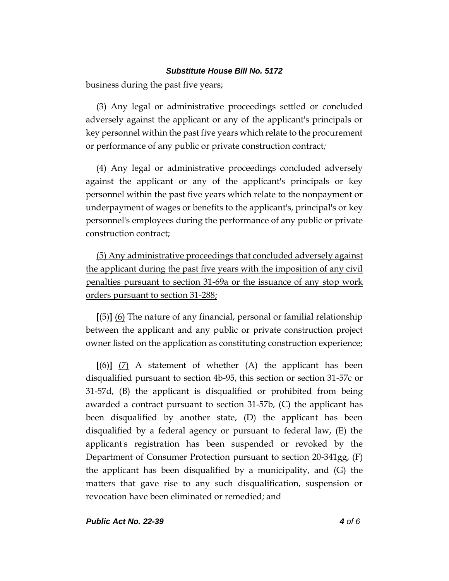business during the past five years;

(3) Any legal or administrative proceedings settled or concluded adversely against the applicant or any of the applicant's principals or key personnel within the past five years which relate to the procurement or performance of any public or private construction contract*;*

(4) Any legal or administrative proceedings concluded adversely against the applicant or any of the applicant's principals or key personnel within the past five years which relate to the nonpayment or underpayment of wages or benefits to the applicant's, principal's or key personnel's employees during the performance of any public or private construction contract;

(5) Any administrative proceedings that concluded adversely against the applicant during the past five years with the imposition of any civil penalties pursuant to section 31-69a or the issuance of any stop work orders pursuant to section 31-288;

**[**(5)**]** (6) The nature of any financial, personal or familial relationship between the applicant and any public or private construction project owner listed on the application as constituting construction experience;

**[**(6)**]** (7) A statement of whether (A) the applicant has been disqualified pursuant to section 4b-95, this section or section 31-57c or 31-57d, (B) the applicant is disqualified or prohibited from being awarded a contract pursuant to section 31-57b, (C) the applicant has been disqualified by another state, (D) the applicant has been disqualified by a federal agency or pursuant to federal law, (E) the applicant's registration has been suspended or revoked by the Department of Consumer Protection pursuant to section 20-341gg, (F) the applicant has been disqualified by a municipality, and (G) the matters that gave rise to any such disqualification, suspension or revocation have been eliminated or remedied; and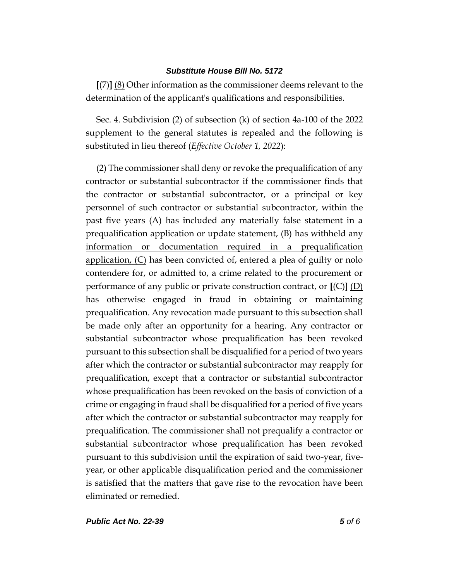**[**(7)**]** (8) Other information as the commissioner deems relevant to the determination of the applicant's qualifications and responsibilities.

Sec. 4. Subdivision (2) of subsection (k) of section 4a-100 of the 2022 supplement to the general statutes is repealed and the following is substituted in lieu thereof (*Effective October 1, 2022*):

(2) The commissioner shall deny or revoke the prequalification of any contractor or substantial subcontractor if the commissioner finds that the contractor or substantial subcontractor, or a principal or key personnel of such contractor or substantial subcontractor, within the past five years (A) has included any materially false statement in a prequalification application or update statement, (B) has withheld any information or documentation required in a prequalification application, (C) has been convicted of, entered a plea of guilty or nolo contendere for, or admitted to, a crime related to the procurement or performance of any public or private construction contract, or **[**(C)**]** (D) has otherwise engaged in fraud in obtaining or maintaining prequalification. Any revocation made pursuant to this subsection shall be made only after an opportunity for a hearing. Any contractor or substantial subcontractor whose prequalification has been revoked pursuant to this subsection shall be disqualified for a period of two years after which the contractor or substantial subcontractor may reapply for prequalification, except that a contractor or substantial subcontractor whose prequalification has been revoked on the basis of conviction of a crime or engaging in fraud shall be disqualified for a period of five years after which the contractor or substantial subcontractor may reapply for prequalification. The commissioner shall not prequalify a contractor or substantial subcontractor whose prequalification has been revoked pursuant to this subdivision until the expiration of said two-year, fiveyear, or other applicable disqualification period and the commissioner is satisfied that the matters that gave rise to the revocation have been eliminated or remedied.